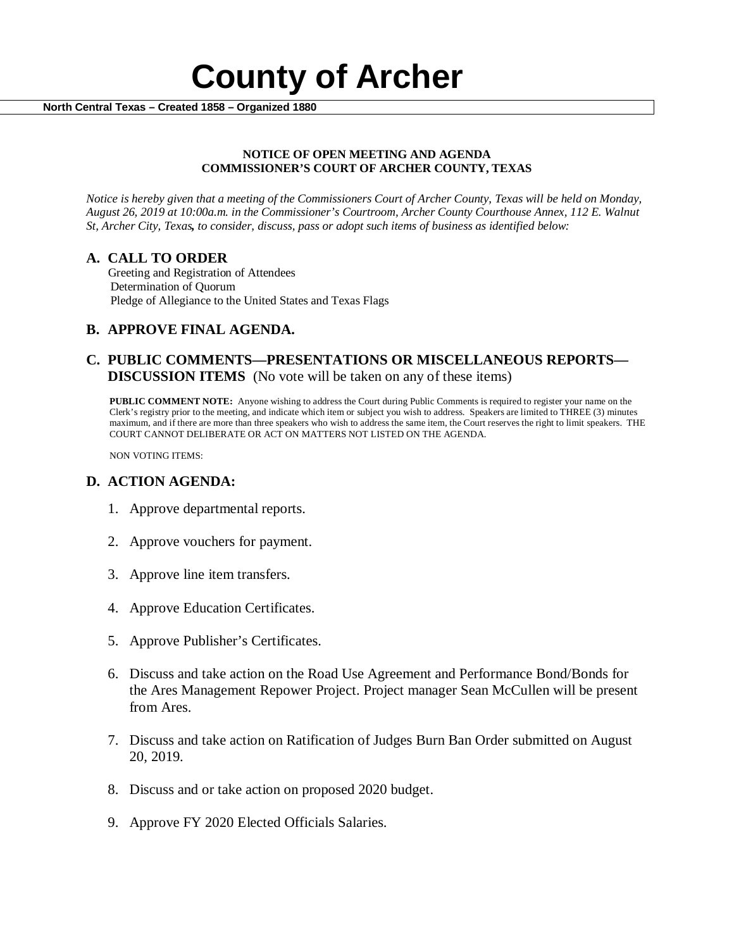

#### **NOTICE OF OPEN MEETING AND AGENDA COMMISSIONER'S COURT OF ARCHER COUNTY, TEXAS**

*Notice is hereby given that a meeting of the Commissioners Court of Archer County, Texas will be held on Monday, August 26, 2019 at 10:00a.m. in the Commissioner's Courtroom, Archer County Courthouse Annex, 112 E. Walnut St, Archer City, Texas, to consider, discuss, pass or adopt such items of business as identified below:*

**A. CALL TO ORDER** Greeting and Registration of Attendees Determination of Quorum Pledge of Allegiance to the United States and Texas Flags

# **B. APPROVE FINAL AGENDA.**

# **C. PUBLIC COMMENTS—PRESENTATIONS OR MISCELLANEOUS REPORTS— DISCUSSION ITEMS** (No vote will be taken on any of these items)

**PUBLIC COMMENT NOTE:** Anyone wishing to address the Court during Public Comments is required to register your name on the Clerk's registry prior to the meeting, and indicate which item or subject you wish to address. Speakers are limited to THREE (3) minutes maximum, and if there are more than three speakers who wish to address the same item, the Court reserves the right to limit speakers. THE COURT CANNOT DELIBERATE OR ACT ON MATTERS NOT LISTED ON THE AGENDA.

NON VOTING ITEMS:

### **D. ACTION AGENDA:**

- 1. Approve departmental reports.
- 2. Approve vouchers for payment.
- 3. Approve line item transfers.
- 4. Approve Education Certificates.
- 5. Approve Publisher's Certificates.
- 6. Discuss and take action on the Road Use Agreement and Performance Bond/Bonds for the Ares Management Repower Project. Project manager Sean McCullen will be present from Ares.
- 7. Discuss and take action on Ratification of Judges Burn Ban Order submitted on August 20, 2019.
- 8. Discuss and or take action on proposed 2020 budget.
- 9. Approve FY 2020 Elected Officials Salaries.